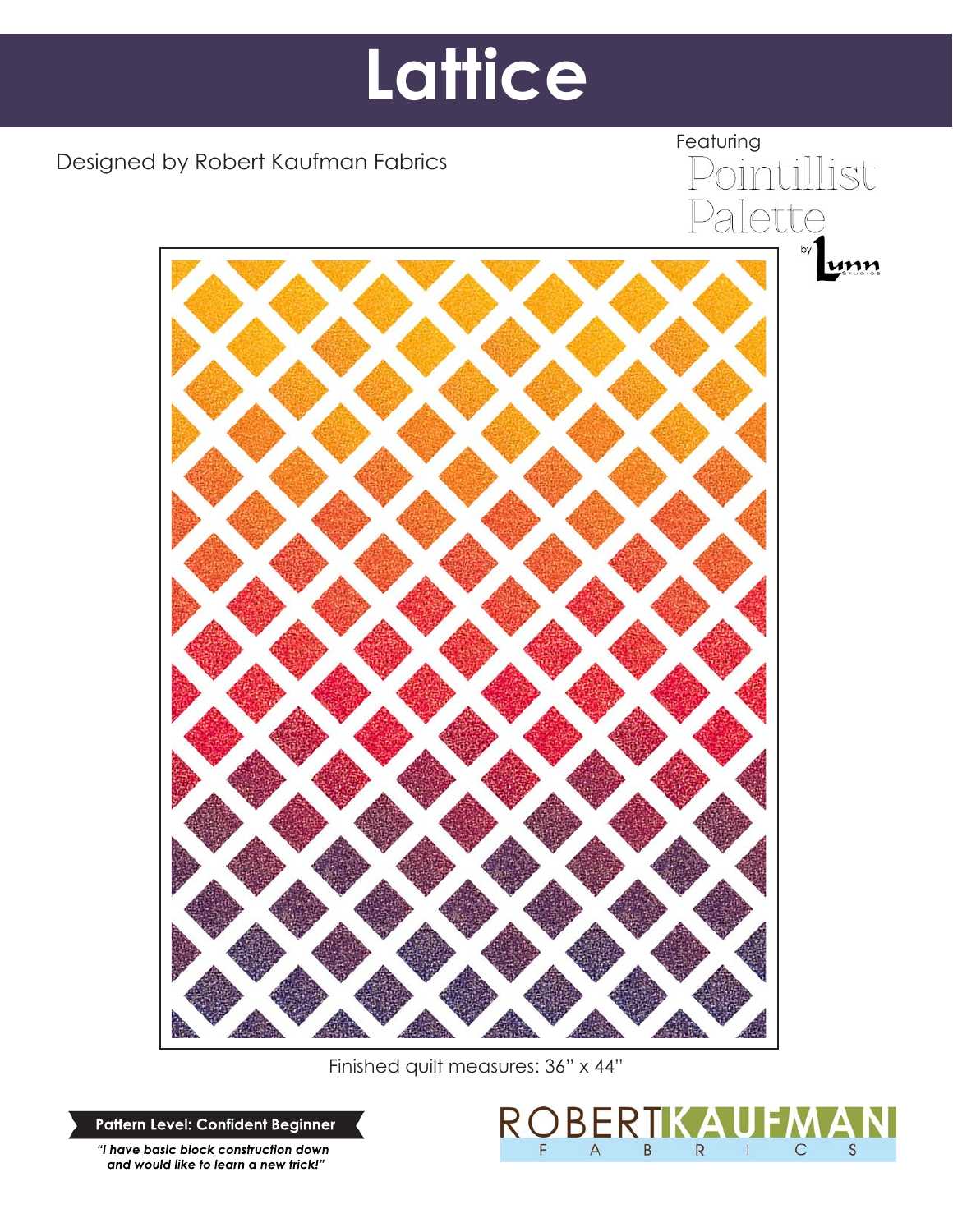# **Lattice**

Designed by Robert Kaufman Fabrics



Finished quilt measures: 36" x 44"

**Pattern Level: Confident Beginner**

*"I have basic block construction down and would like to learn a new trick!"*



Featuring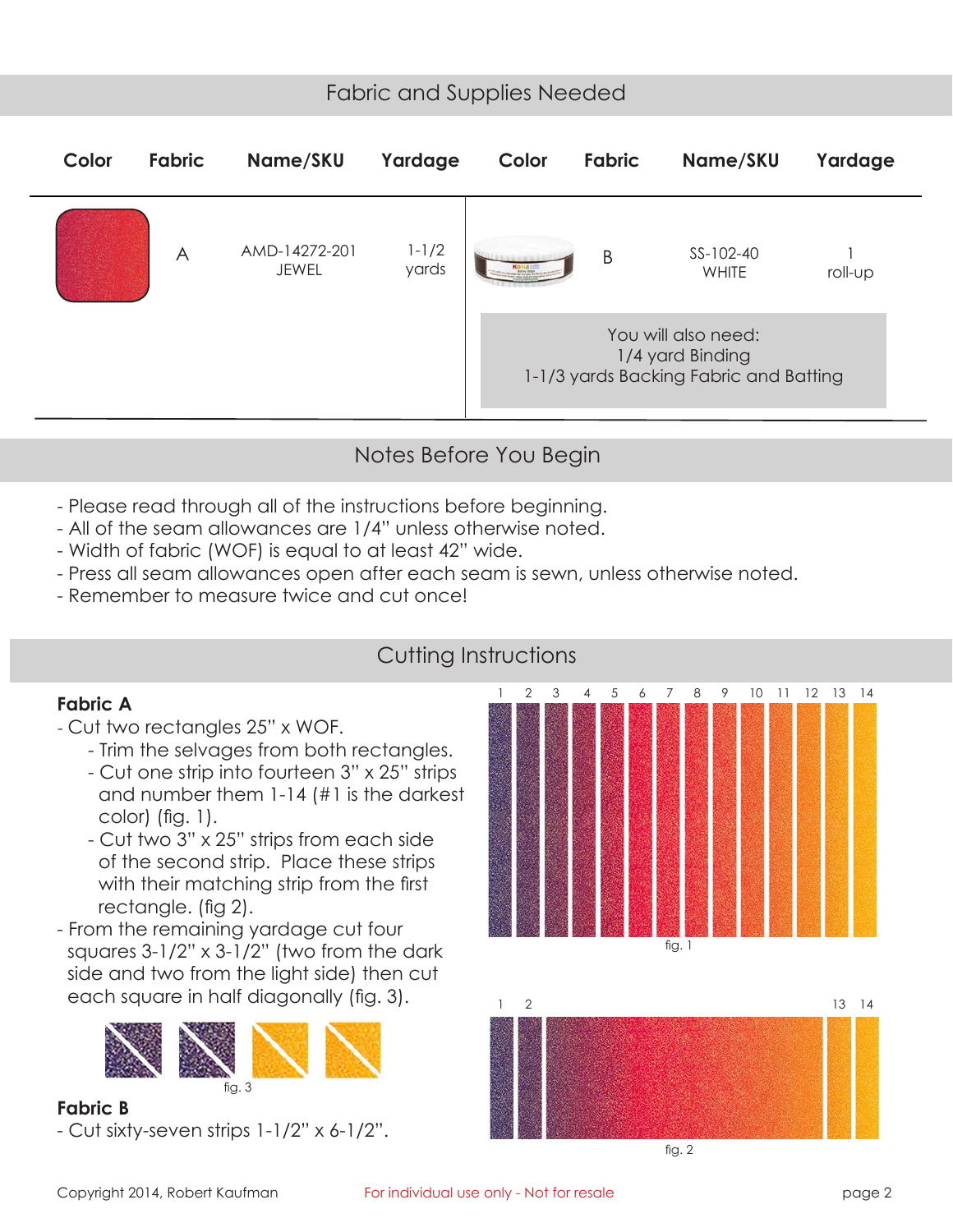# Fabric and Supplies Needed

| Color | <b>Fabric</b> | Name/SKU                      | Yardage            | Color                                                                             | Fabric | Name/SKU           | Yardage |
|-------|---------------|-------------------------------|--------------------|-----------------------------------------------------------------------------------|--------|--------------------|---------|
|       | A             | AMD-14272-201<br><b>JEWEL</b> | $1 - 1/2$<br>yards | KONA                                                                              | B      | SS-102-40<br>WHITE | roll-up |
|       |               |                               |                    | You will also need:<br>1/4 yard Binding<br>1-1/3 yards Backing Fabric and Batting |        |                    |         |

# Notes Before You Begin

- Please read through all of the instructions before beginning.
- All of the seam allowances are 1/4" unless otherwise noted.
- Width of fabric (WOF) is equal to at least 42" wide.
- Press all seam allowances open after each seam is sewn, unless otherwise noted.
- Remember to measure twice and cut once!

## Cutting Instructions

#### **Fabric A**

- Cut two rectangles 25" x WOF.
	- Trim the selvages from both rectangles.
	- Cut one strip into fourteen 3" x 25" strips and number them 1-14 (#1 is the darkest color) (fig. 1).
	- Cut two 3" x 25" strips from each side of the second strip. Place these strips with their matching strip from the first rectangle. (fig 2).
- From the remaining yardage cut four squares 3-1/2" x 3-1/2" (two from the dark side and two from the light side) then cut each square in half diagonally (fig. 3).



**Fabric B** - Cut sixty-seven strips 1-1/2" x 6-1/2".

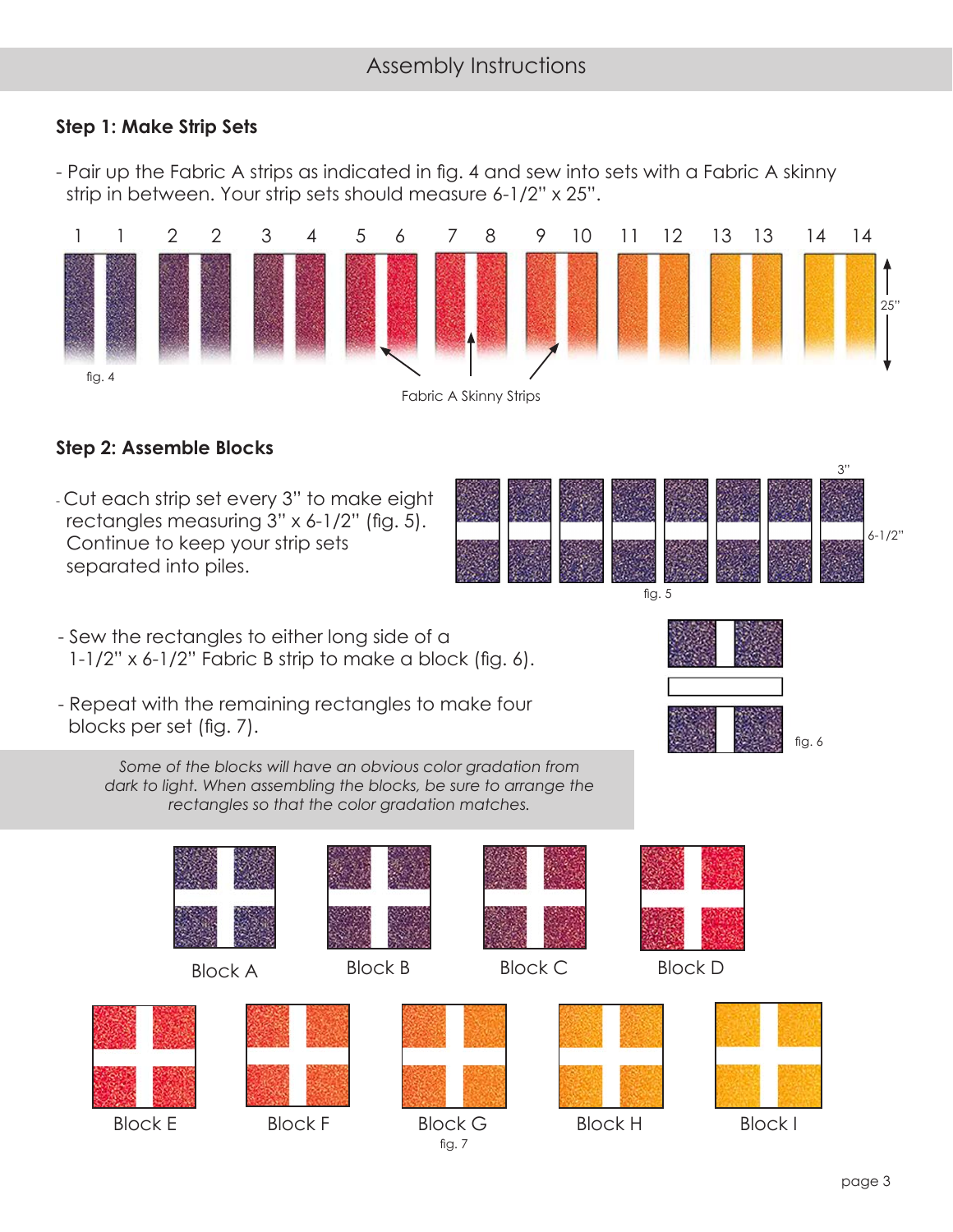## **Step 1: Make Strip Sets**

- Pair up the Fabric A strips as indicated in fig. 4 and sew into sets with a Fabric A skinny strip in between. Your strip sets should measure 6-1/2" x 25".



## **Step 2: Assemble Blocks**

- Cut each strip set every 3" to make eight rectangles measuring 3" x 6-1/2" (fig. 5). Continue to keep your strip sets separated into piles.
- fig. 5 6-1/2"
- Sew the rectangles to either long side of a  $1-1/2$ " x 6- $1/2$ " Fabric B strip to make a block (fig. 6).
- Repeat with the remaining rectangles to make four blocks per set (fig. 7).
	- *Some of the blocks will have an obvious color gradation from*  dark to light. When assembling the blocks, be sure to arrange the *rectangles so that the color gradation matches.*



3"

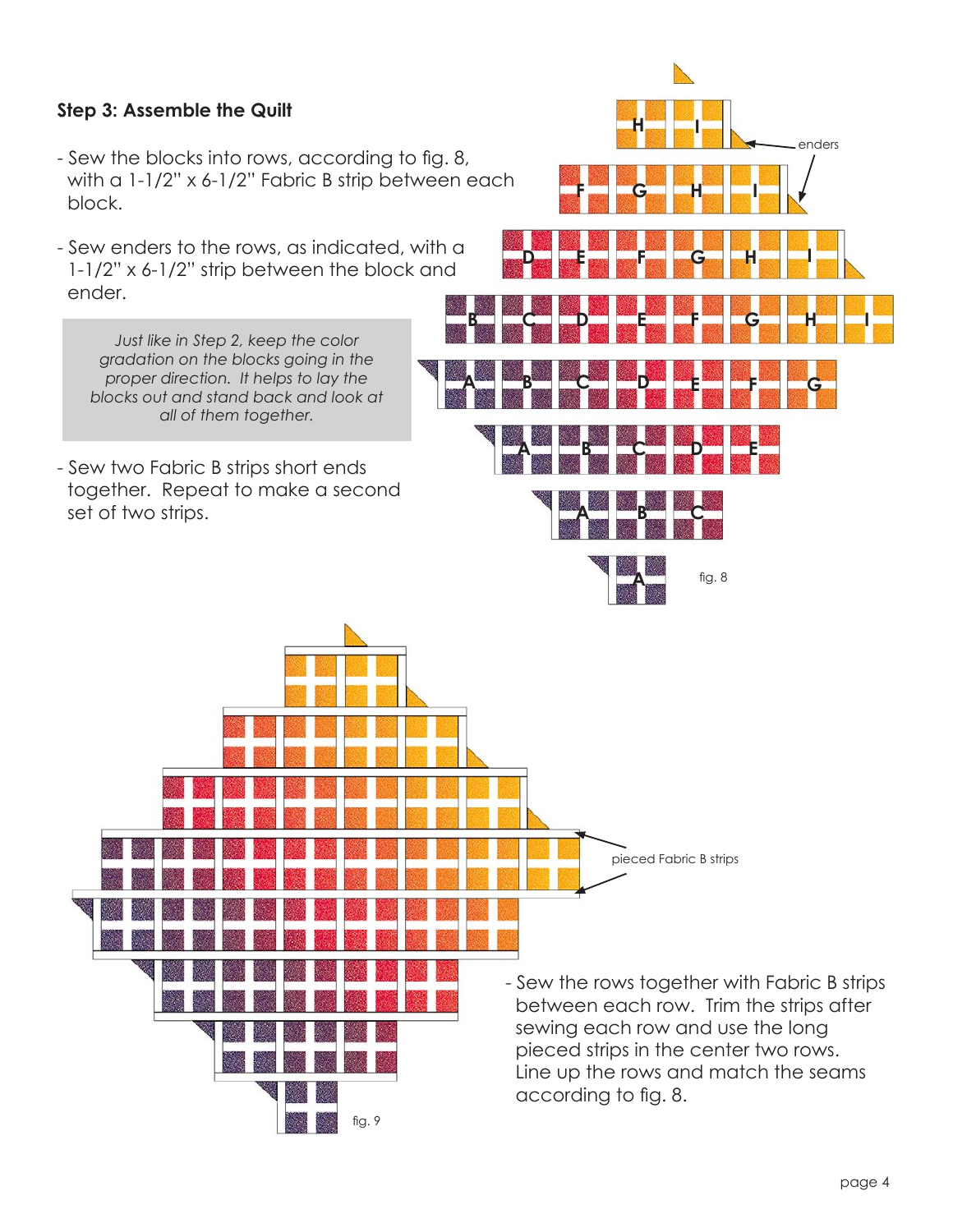#### **Step 3: Assemble the Quilt**

- Sew the blocks into rows, according to fig. 8, with a 1-1/2" x 6-1/2" Fabric B strip between each block.
- Sew enders to the rows, as indicated, with a 1-1/2" x 6-1/2" strip between the block and ender.

*Just like in Step 2, keep the color gradation on the blocks going in the proper direction. It helps to lay the blocks out and stand back and look at all of them together.*

- Sew two Fabric B strips short ends together. Repeat to make a second set of two strips.